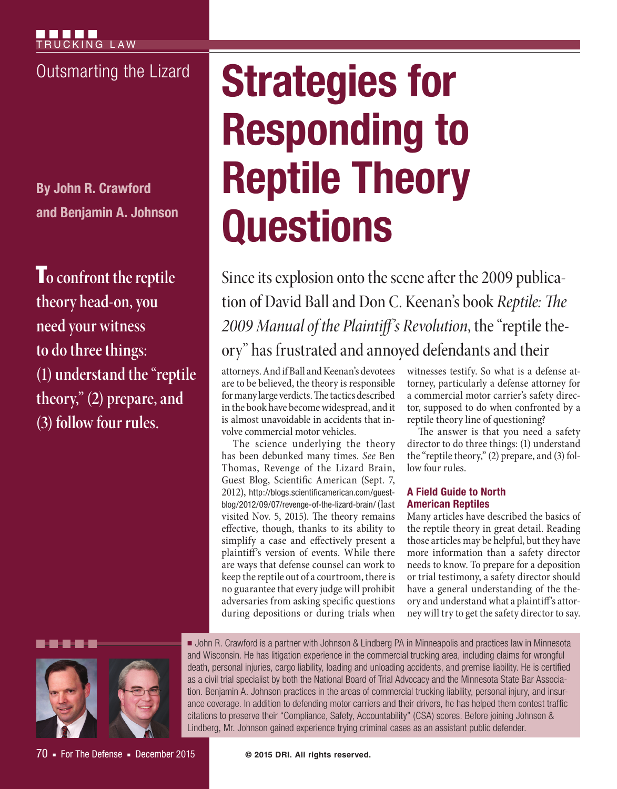**By John R. Crawford and Benjamin A. Johnson**

T**o confront the reptile theory head-on, you need your witness to do three things: (1) understand the "reptile theory," (2) prepare, and (3) follow four rules.**

# **Outsmarting the Lizard Strategies for Responding to Reptile Theory Questions**

Since its explosion onto the scene after the 2009 publication of David Ball and Don C. Keenan's book *Reptile: The 2009 Manual of the Plaintiff's Revolution*, the "reptile theory" has frustrated and annoyed defendants and their

attorneys. And if Ball and Keenan's devotees are to be believed, the theory is responsible for many large verdicts. The tactics described in the book have become widespread, and it is almost unavoidable in accidents that involve commercial motor vehicles.

The science underlying the theory has been debunked many times. *See* Ben Thomas, Revenge of the Lizard Brain, Guest Blog, Scientific American (Sept. 7, 2012), http://blogs.scientificamerican.com/guestblog/2012/09/07/revenge-of-the-lizard-brain/ (last visited Nov. 5, 2015). The theory remains effective, though, thanks to its ability to simplify a case and effectively present a plaintiff's version of events. While there are ways that defense counsel can work to keep the reptile out of a courtroom, there is no guarantee that every judge will prohibit adversaries from asking specific questions during depositions or during trials when

witnesses testify. So what is a defense attorney, particularly a defense attorney for a commercial motor carrier's safety director, supposed to do when confronted by a reptile theory line of questioning?

The answer is that you need a safety director to do three things: (1) understand the "reptile theory," (2) prepare, and (3) follow four rules.

# **A Field Guide to North American Reptiles**

Many articles have described the basics of the reptile theory in great detail. Reading those articles may be helpful, but they have more information than a safety director needs to know. To prepare for a deposition or trial testimony, a safety director should have a general understanding of the theory and understand what a plaintiff's attorney will try to get the safety director to say.



70 • For The Defense • December 2015

■ John R. Crawford is a partner with Johnson & Lindberg PA in Minneapolis and practices law in Minnesota and Wisconsin. He has litigation experience in the commercial trucking area, including claims for wrongful death, personal injuries, cargo liability, loading and unloading accidents, and premise liability. He is certified as a civil trial specialist by both the National Board of Trial Advocacy and the Minnesota State Bar Association. Benjamin A. Johnson practices in the areas of commercial trucking liability, personal injury, and insurance coverage. In addition to defending motor carriers and their drivers, he has helped them contest traffic citations to preserve their "Compliance, Safety, Accountability" (CSA) scores. Before joining Johnson & Lindberg, Mr. Johnson gained experience trying criminal cases as an assistant public defender.

**© 2015 DRI. All rights reserved.**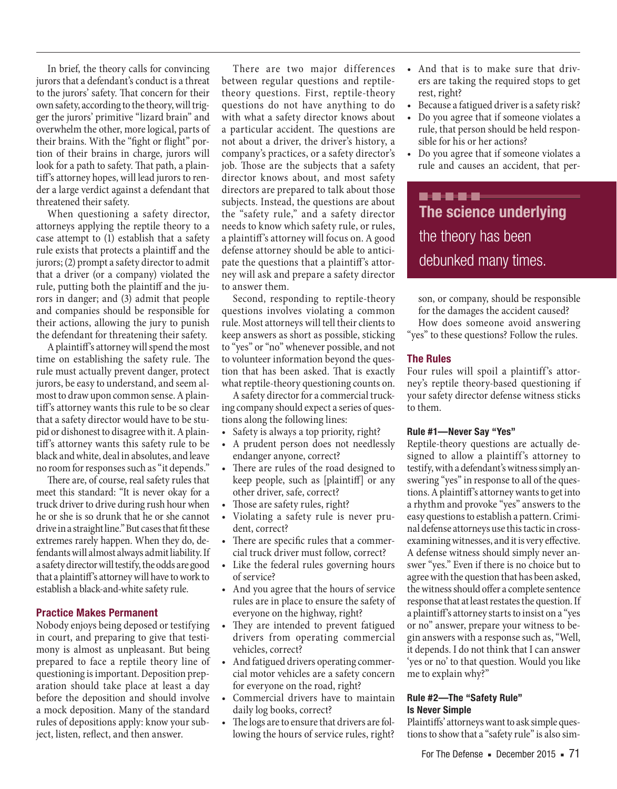In brief, the theory calls for convincing jurors that a defendant's conduct is a threat to the jurors' safety. That concern for their own safety, according to the theory, will trigger the jurors' primitive "lizard brain" and overwhelm the other, more logical, parts of their brains. With the "fight or flight" portion of their brains in charge, jurors will look for a path to safety. That path, a plaintiff's attorney hopes, will lead jurors to render a large verdict against a defendant that threatened their safety.

When questioning a safety director, attorneys applying the reptile theory to a case attempt to (1) establish that a safety rule exists that protects a plaintiff and the jurors; (2) prompt a safety director to admit that a driver (or a company) violated the rule, putting both the plaintiff and the jurors in danger; and (3) admit that people and companies should be responsible for their actions, allowing the jury to punish the defendant for threatening their safety.

A plaintiff's attorney will spend the most time on establishing the safety rule. The rule must actually prevent danger, protect jurors, be easy to understand, and seem almost to draw upon common sense. A plaintiff's attorney wants this rule to be so clear that a safety director would have to be stupid or dishonest to disagree with it. A plaintiff's attorney wants this safety rule to be black and white, deal in absolutes, and leave no room for responses such as "it depends."

There are, of course, real safety rules that meet this standard: "It is never okay for a truck driver to drive during rush hour when he or she is so drunk that he or she cannot drive in a straight line." But cases that fit these extremes rarely happen. When they do, defendants will almost always admit liability. If a safety director will testify, the odds are good that a plaintiff's attorney will have to work to establish a black-and-white safety rule.

#### **Practice Makes Permanent**

Nobody enjoys being deposed or testifying in court, and preparing to give that testimony is almost as unpleasant. But being prepared to face a reptile theory line of questioning is important. Deposition preparation should take place at least a day before the deposition and should involve a mock deposition. Many of the standard rules of depositions apply: know your subject, listen, reflect, and then answer.

There are two major differences between regular questions and reptiletheory questions. First, reptile-theory questions do not have anything to do with what a safety director knows about a particular accident. The questions are not about a driver, the driver's history, a company's practices, or a safety director's job. Those are the subjects that a safety director knows about, and most safety directors are prepared to talk about those subjects. Instead, the questions are about the "safety rule," and a safety director needs to know which safety rule, or rules, a plaintiff's attorney will focus on. A good defense attorney should be able to anticipate the questions that a plaintiff's attorney will ask and prepare a safety director to answer them.

Second, responding to reptile-theory questions involves violating a common rule. Most attorneys will tell their clients to keep answers as short as possible, sticking to "yes" or "no" whenever possible, and not to volunteer information beyond the question that has been asked. That is exactly what reptile-theory questioning counts on.

A safety director for a commercial trucking company should expect a series of questions along the following lines:

- Safety is always a top priority, right?
- A prudent person does not needlessly endanger anyone, correct?
- There are rules of the road designed to keep people, such as [plaintiff] or any other driver, safe, correct?
- Those are safety rules, right?
- Violating a safety rule is never prudent, correct?
- There are specific rules that a commercial truck driver must follow, correct?
- Like the federal rules governing hours of service?
- And you agree that the hours of service rules are in place to ensure the safety of everyone on the highway, right?
- They are intended to prevent fatigued drivers from operating commercial vehicles, correct?
- And fatigued drivers operating commercial motor vehicles are a safety concern for everyone on the road, right?
- Commercial drivers have to maintain daily log books, correct?
- The logs are to ensure that drivers are following the hours of service rules, right?
- And that is to make sure that drivers are taking the required stops to get rest, right?
- Because a fatigued driver is a safety risk?
- Do you agree that if someone violates a rule, that person should be held responsible for his or her actions?
- Do you agree that if someone violates a rule and causes an accident, that per-

-----**The science underlying**  the theory has been debunked many times.

son, or company, should be responsible for the damages the accident caused? How does someone avoid answering "yes" to these questions? Follow the rules.

#### **The Rules**

Four rules will spoil a plaintiff's attorney's reptile theory-based questioning if your safety director defense witness sticks to them.

#### **Rule #1—Never Say "Yes"**

Reptile-theory questions are actually designed to allow a plaintiff's attorney to testify, with a defendant's witness simply answering "yes" in response to all of the questions. A plaintiff's attorney wants to get into a rhythm and provoke "yes" answers to the easy questions to establish a pattern. Criminal defense attorneys use this tactic in crossexamining witnesses, and it is very effective. A defense witness should simply never answer "yes." Even if there is no choice but to agree with the question that has been asked, the witness should offer a complete sentence response that at least restates the question. If a plaintiff's attorney starts to insist on a "yes or no" answer, prepare your witness to begin answers with a response such as, "Well, it depends. I do not think that I can answer 'yes or no' to that question. Would you like me to explain why?"

#### **Rule #2—The "Safety Rule" Is Never Simple**

Plaintiffs' attorneys want to ask simple questions to show that a "safety rule" is also sim-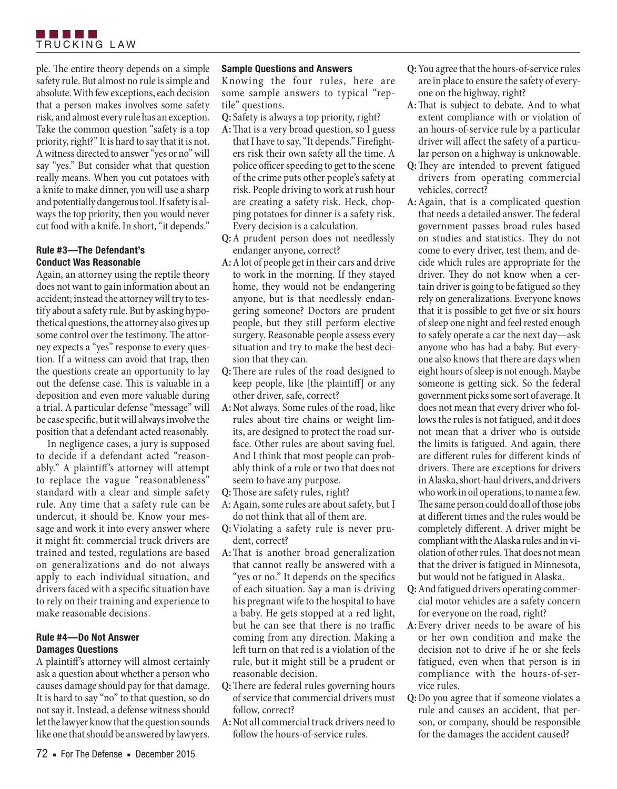

ple. The entire theory depends on a simple safety rule. But almost no rule is simple and absolute. With few exceptions, each decision that a person makes involves some safety risk, and almost every rule has an exception. Take the common question "safety is a top priority, right?" It is hard to say that it is not. A witness directed to answer "yes or no" will say "yes." But consider what that question really means. When you cut potatoes with a knife to make dinner, you will use a sharp and potentially dangerous tool. If safety is always the top priority, then you would never cut food with a knife. In short, "it depends."

### **Rule #3—The Defendant's Conduct Was Reasonable**

Again, an attorney using the reptile theory does not want to gain information about an accident; instead the attorney will try to testify about a safety rule. But by asking hypothetical questions, the attorney also gives up some control over the testimony. The attorney expects a "yes" response to every question. If a witness can avoid that trap, then the questions create an opportunity to lay out the defense case. This is valuable in a deposition and even more valuable during a trial. A particular defense "message" will be case specific, but it will always involve the position that a defendant acted reasonably.

In negligence cases, a jury is supposed to decide if a defendant acted "reasonably." A plaintiff's attorney will attempt to replace the vague "reasonableness" standard with a clear and simple safety rule. Any time that a safety rule can be undercut, it should be. Know your message and work it into every answer where it might fit: commercial truck drivers are trained and tested, regulations are based on generalizations and do not always apply to each individual situation, and drivers faced with a specific situation have to rely on their training and experience to make reasonable decisions.

#### **Rule #4—Do Not Answer Damages Questions**

A plaintiff's attorney will almost certainly ask a question about whether a person who causes damage should pay for that damage. It is hard to say "no" to that question, so do not say it. Instead, a defense witness should let the lawyer know that the question sounds like one that should be answered by lawyers.

#### **Sample Questions and Answers**

Knowing the four rules, here are some sample answers to typical "reptile" questions.

**Q:** Safety is always a top priority, right?

- **A:**That is a very broad question, so I guess that I have to say, "It depends." Firefighters risk their own safety all the time. A police officer speeding to get to the scene of the crime puts other people's safety at risk. People driving to work at rush hour are creating a safety risk. Heck, chopping potatoes for dinner is a safety risk. Every decision is a calculation.
- **Q:**A prudent person does not needlessly endanger anyone, correct?
- **A:**A lot of people get in their cars and drive to work in the morning. If they stayed home, they would not be endangering anyone, but is that needlessly endangering someone? Doctors are prudent people, but they still perform elective surgery. Reasonable people assess every situation and try to make the best decision that they can.
- **Q:**There are rules of the road designed to keep people, like [the plaintiff] or any other driver, safe, correct?
- **A:**Not always. Some rules of the road, like rules about tire chains or weight limits, are designed to protect the road surface. Other rules are about saving fuel. And I think that most people can probably think of a rule or two that does not seem to have any purpose.
- **Q:**Those are safety rules, right?
- A: Again, some rules are about safety, but I do not think that all of them are.
- **Q:**Violating a safety rule is never prudent, correct?
- **A:**That is another broad generalization that cannot really be answered with a "yes or no." It depends on the specifics of each situation. Say a man is driving his pregnant wife to the hospital to have a baby. He gets stopped at a red light, but he can see that there is no traffic coming from any direction. Making a left turn on that red is a violation of the rule, but it might still be a prudent or reasonable decision.
- **Q:**There are federal rules governing hours of service that commercial drivers must follow, correct?
- **A:**Not all commercial truck drivers need to follow the hours-of-service rules.
- **Q:**You agree that the hours-of-service rules are in place to ensure the safety of everyone on the highway, right?
- **A:**That is subject to debate. And to what extent compliance with or violation of an hours-of-service rule by a particular driver will affect the safety of a particular person on a highway is unknowable.
- **Q:**They are intended to prevent fatigued drivers from operating commercial vehicles, correct?
- **A:**Again, that is a complicated question that needs a detailed answer. The federal government passes broad rules based on studies and statistics. They do not come to every driver, test them, and decide which rules are appropriate for the driver. They do not know when a certain driver is going to be fatigued so they rely on generalizations. Everyone knows that it is possible to get five or six hours of sleep one night and feel rested enough to safely operate a car the next day—ask anyone who has had a baby. But everyone also knows that there are days when eight hours of sleep is not enough. Maybe someone is getting sick. So the federal government picks some sort of average. It does not mean that every driver who follows the rules is not fatigued, and it does not mean that a driver who is outside the limits is fatigued. And again, there are different rules for different kinds of drivers. There are exceptions for drivers in Alaska, short-haul drivers, and drivers who work in oil operations, to name a few. The same person could do all of those jobs at different times and the rules would be completely different. A driver might be compliant with the Alaska rules and in violation of other rules. That does not mean that the driver is fatigued in Minnesota, but would not be fatigued in Alaska.
- **Q:**And fatigued drivers operating commercial motor vehicles are a safety concern for everyone on the road, right?
- **A:** Every driver needs to be aware of his or her own condition and make the decision not to drive if he or she feels fatigued, even when that person is in compliance with the hours-of-service rules.
- **Q:**Do you agree that if someone violates a rule and causes an accident, that person, or company, should be responsible for the damages the accident caused?